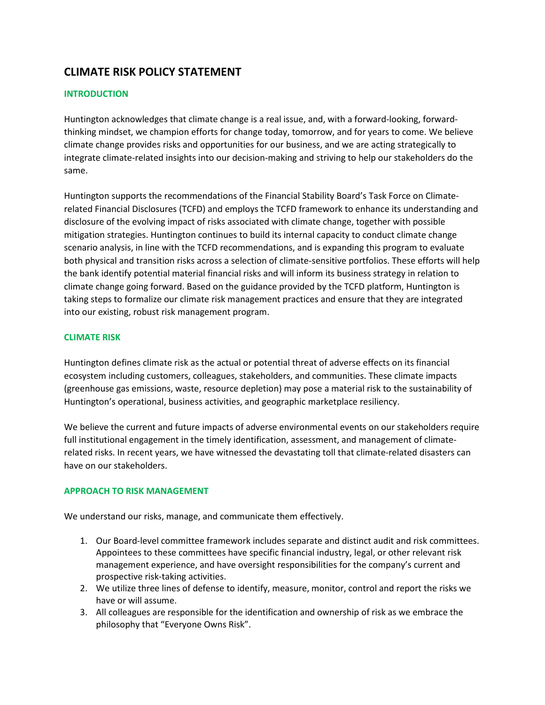# **CLIMATE RISK POLICY STATEMENT**

## **INTRODUCTION**

Huntington acknowledges that climate change is a real issue, and, with a forward-looking, forwardthinking mindset, we champion efforts for change today, tomorrow, and for years to come. We believe climate change provides risks and opportunities for our business, and we are acting strategically to integrate climate-related insights into our decision-making and striving to help our stakeholders do the same.

Huntington supports the recommendations of the Financial Stability Board's Task Force on Climaterelated Financial Disclosures (TCFD) and employs the TCFD framework to enhance its understanding and disclosure of the evolving impact of risks associated with climate change, together with possible mitigation strategies. Huntington continues to build its internal capacity to conduct climate change scenario analysis, in line with the TCFD recommendations, and is expanding this program to evaluate both physical and transition risks across a selection of climate-sensitive portfolios. These efforts will help the bank identify potential material financial risks and will inform its business strategy in relation to climate change going forward. Based on the guidance provided by the TCFD platform, Huntington is taking steps to formalize our climate risk management practices and ensure that they are integrated into our existing, robust risk management program.

## **CLIMATE RISK**

Huntington defines climate risk as the actual or potential threat of adverse effects on its financial ecosystem including customers, colleagues, stakeholders, and communities. These climate impacts (greenhouse gas emissions, waste, resource depletion) may pose a material risk to the sustainability of Huntington's operational, business activities, and geographic marketplace resiliency.

We believe the current and future impacts of adverse environmental events on our stakeholders require full institutional engagement in the timely identification, assessment, and management of climaterelated risks. In recent years, we have witnessed the devastating toll that climate-related disasters can have on our stakeholders.

### **APPROACH TO RISK MANAGEMENT**

We understand our risks, manage, and communicate them effectively.

- 1. Our Board-level committee framework includes separate and distinct audit and risk committees. Appointees to these committees have specific financial industry, legal, or other relevant risk management experience, and have oversight responsibilities for the company's current and prospective risk-taking activities.
- 2. We utilize three lines of defense to identify, measure, monitor, control and report the risks we have or will assume.
- 3. All colleagues are responsible for the identification and ownership of risk as we embrace the philosophy that "Everyone Owns Risk".